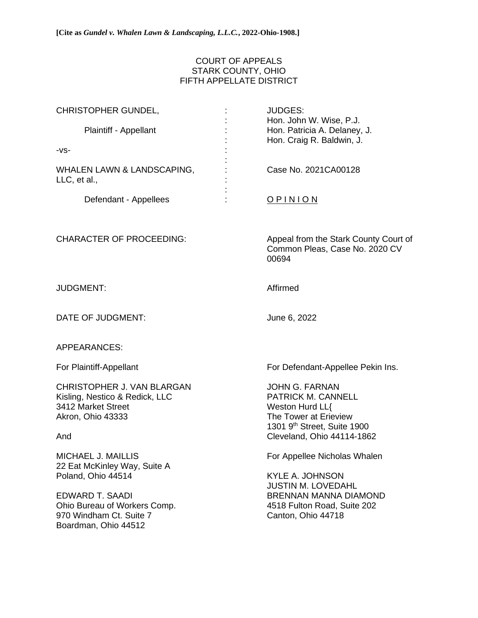## COURT OF APPEALS STARK COUNTY, OHIO FIFTH APPELLATE DISTRICT

| <b>CHRISTOPHER GUNDEL,</b>                                                                                     | <b>JUDGES:</b>                                                                                                                                                   |
|----------------------------------------------------------------------------------------------------------------|------------------------------------------------------------------------------------------------------------------------------------------------------------------|
| Plaintiff - Appellant                                                                                          | Hon. John W. Wise, P.J.<br>Hon. Patricia A. Delaney, J.<br>Hon. Craig R. Baldwin, J.                                                                             |
| $-VS-$                                                                                                         |                                                                                                                                                                  |
| WHALEN LAWN & LANDSCAPING,<br>LLC, et al.,                                                                     | Case No. 2021CA00128                                                                                                                                             |
| Defendant - Appellees                                                                                          | <b>OPINION</b>                                                                                                                                                   |
| <b>CHARACTER OF PROCEEDING:</b>                                                                                | Appeal from the Stark County Court of<br>Common Pleas, Case No. 2020 CV<br>00694                                                                                 |
| <b>JUDGMENT:</b>                                                                                               | Affirmed                                                                                                                                                         |
| DATE OF JUDGMENT:                                                                                              | June 6, 2022                                                                                                                                                     |
| <b>APPEARANCES:</b>                                                                                            |                                                                                                                                                                  |
| For Plaintiff-Appellant                                                                                        | For Defendant-Appellee Pekin Ins.                                                                                                                                |
| CHRISTOPHER J. VAN BLARGAN<br>Kisling, Nestico & Redick, LLC<br>3412 Market Street<br>Akron, Ohio 43333<br>And | <b>JOHN G. FARNAN</b><br>PATRICK M. CANNELL<br>Weston Hurd LL{<br>The Tower at Erieview<br>1301 9 <sup>th</sup> Street, Suite 1900<br>Cleveland, Ohio 44114-1862 |
| MICHAEL J. MAILLIS<br>22 Eat McKinley Way, Suite A<br>Poland, Ohio 44514                                       | For Appellee Nicholas Whalen<br><b>KYLE A. JOHNSON</b>                                                                                                           |
| <b>EDWARD T. SAADI</b><br>Ohio Bureau of Workers Comp.<br>970 Windham Ct. Suite 7<br>Boardman, Ohio 44512      | <b>JUSTIN M. LOVEDAHL</b><br><b>BRENNAN MANNA DIAMOND</b><br>4518 Fulton Road, Suite 202<br>Canton, Ohio 44718                                                   |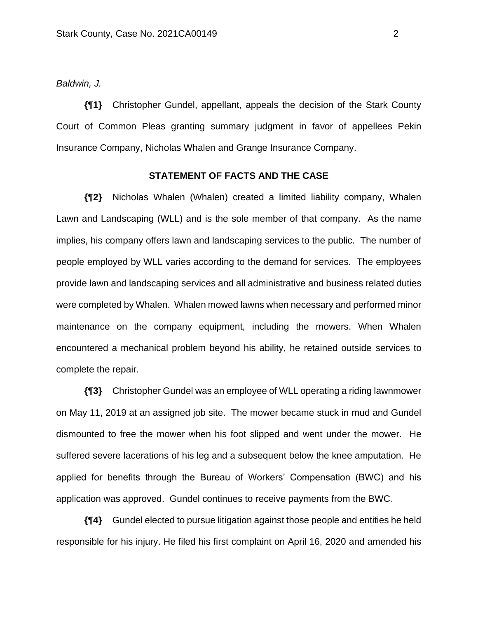*Baldwin, J.*

**{¶1}** Christopher Gundel, appellant, appeals the decision of the Stark County Court of Common Pleas granting summary judgment in favor of appellees Pekin Insurance Company, Nicholas Whalen and Grange Insurance Company.

## **STATEMENT OF FACTS AND THE CASE**

**{¶2}** Nicholas Whalen (Whalen) created a limited liability company, Whalen Lawn and Landscaping (WLL) and is the sole member of that company. As the name implies, his company offers lawn and landscaping services to the public. The number of people employed by WLL varies according to the demand for services. The employees provide lawn and landscaping services and all administrative and business related duties were completed by Whalen. Whalen mowed lawns when necessary and performed minor maintenance on the company equipment, including the mowers. When Whalen encountered a mechanical problem beyond his ability, he retained outside services to complete the repair.

**{¶3}** Christopher Gundel was an employee of WLL operating a riding lawnmower on May 11, 2019 at an assigned job site. The mower became stuck in mud and Gundel dismounted to free the mower when his foot slipped and went under the mower. He suffered severe lacerations of his leg and a subsequent below the knee amputation. He applied for benefits through the Bureau of Workers' Compensation (BWC) and his application was approved. Gundel continues to receive payments from the BWC.

**{¶4}** Gundel elected to pursue litigation against those people and entities he held responsible for his injury. He filed his first complaint on April 16, 2020 and amended his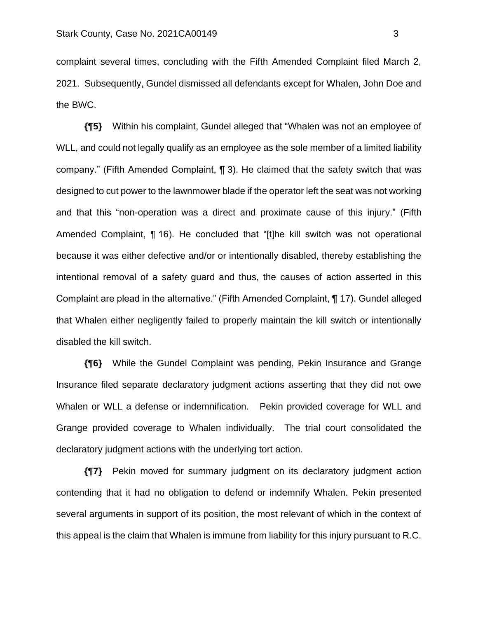complaint several times, concluding with the Fifth Amended Complaint filed March 2, 2021. Subsequently, Gundel dismissed all defendants except for Whalen, John Doe and the BWC.

**{¶5}** Within his complaint, Gundel alleged that "Whalen was not an employee of WLL, and could not legally qualify as an employee as the sole member of a limited liability company." (Fifth Amended Complaint, ¶ 3). He claimed that the safety switch that was designed to cut power to the lawnmower blade if the operator left the seat was not working and that this "non-operation was a direct and proximate cause of this injury." (Fifth Amended Complaint, ¶ 16). He concluded that "[t]he kill switch was not operational because it was either defective and/or or intentionally disabled, thereby establishing the intentional removal of a safety guard and thus, the causes of action asserted in this Complaint are plead in the alternative." (Fifth Amended Complaint, ¶ 17). Gundel alleged that Whalen either negligently failed to properly maintain the kill switch or intentionally disabled the kill switch.

**{¶6}** While the Gundel Complaint was pending, Pekin Insurance and Grange Insurance filed separate declaratory judgment actions asserting that they did not owe Whalen or WLL a defense or indemnification. Pekin provided coverage for WLL and Grange provided coverage to Whalen individually. The trial court consolidated the declaratory judgment actions with the underlying tort action.

**{¶7}** Pekin moved for summary judgment on its declaratory judgment action contending that it had no obligation to defend or indemnify Whalen. Pekin presented several arguments in support of its position, the most relevant of which in the context of this appeal is the claim that Whalen is immune from liability for this injury pursuant to R.C.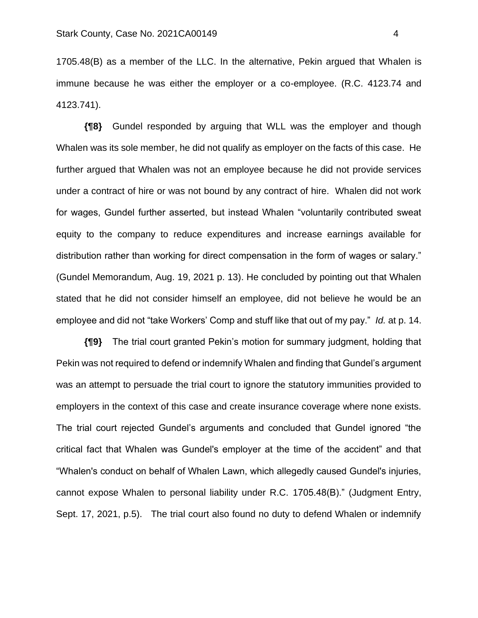1705.48(B) as a member of the LLC. In the alternative, Pekin argued that Whalen is immune because he was either the employer or a co-employee. (R.C. 4123.74 and 4123.741).

**{¶8}** Gundel responded by arguing that WLL was the employer and though Whalen was its sole member, he did not qualify as employer on the facts of this case. He further argued that Whalen was not an employee because he did not provide services under a contract of hire or was not bound by any contract of hire. Whalen did not work for wages, Gundel further asserted, but instead Whalen "voluntarily contributed sweat equity to the company to reduce expenditures and increase earnings available for distribution rather than working for direct compensation in the form of wages or salary." (Gundel Memorandum, Aug. 19, 2021 p. 13). He concluded by pointing out that Whalen stated that he did not consider himself an employee, did not believe he would be an employee and did not "take Workers' Comp and stuff like that out of my pay." *Id.* at p. 14.

**{¶9}** The trial court granted Pekin's motion for summary judgment, holding that Pekin was not required to defend or indemnify Whalen and finding that Gundel's argument was an attempt to persuade the trial court to ignore the statutory immunities provided to employers in the context of this case and create insurance coverage where none exists. The trial court rejected Gundel's arguments and concluded that Gundel ignored "the critical fact that Whalen was Gundel's employer at the time of the accident" and that "Whalen's conduct on behalf of Whalen Lawn, which allegedly caused Gundel's injuries, cannot expose Whalen to personal liability under R.C. 1705.48(B)." (Judgment Entry, Sept. 17, 2021, p.5). The trial court also found no duty to defend Whalen or indemnify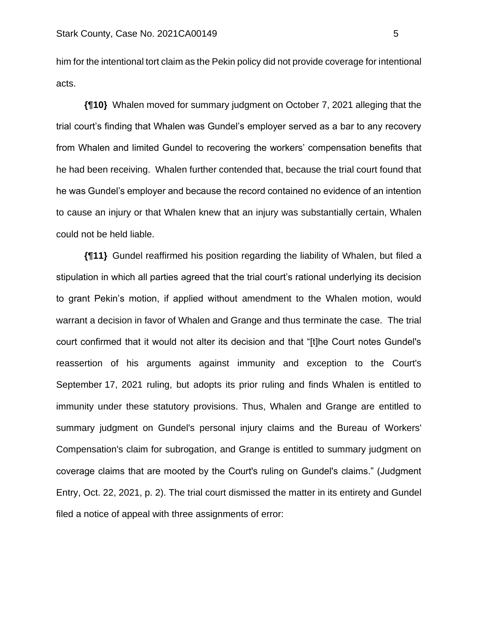him for the intentional tort claim as the Pekin policy did not provide coverage for intentional acts.

**{¶10}** Whalen moved for summary judgment on October 7, 2021 alleging that the trial court's finding that Whalen was Gundel's employer served as a bar to any recovery from Whalen and limited Gundel to recovering the workers' compensation benefits that he had been receiving. Whalen further contended that, because the trial court found that he was Gundel's employer and because the record contained no evidence of an intention to cause an injury or that Whalen knew that an injury was substantially certain, Whalen could not be held liable.

**{¶11}** Gundel reaffirmed his position regarding the liability of Whalen, but filed a stipulation in which all parties agreed that the trial court's rational underlying its decision to grant Pekin's motion, if applied without amendment to the Whalen motion, would warrant a decision in favor of Whalen and Grange and thus terminate the case. The trial court confirmed that it would not alter its decision and that "[t]he Court notes Gundel's reassertion of his arguments against immunity and exception to the Court's September 17, 2021 ruling, but adopts its prior ruling and finds Whalen is entitled to immunity under these statutory provisions. Thus, Whalen and Grange are entitled to summary judgment on Gundel's personal injury claims and the Bureau of Workers' Compensation's claim for subrogation, and Grange is entitled to summary judgment on coverage claims that are mooted by the Court's ruling on Gundel's claims." (Judgment Entry, Oct. 22, 2021, p. 2). The trial court dismissed the matter in its entirety and Gundel filed a notice of appeal with three assignments of error: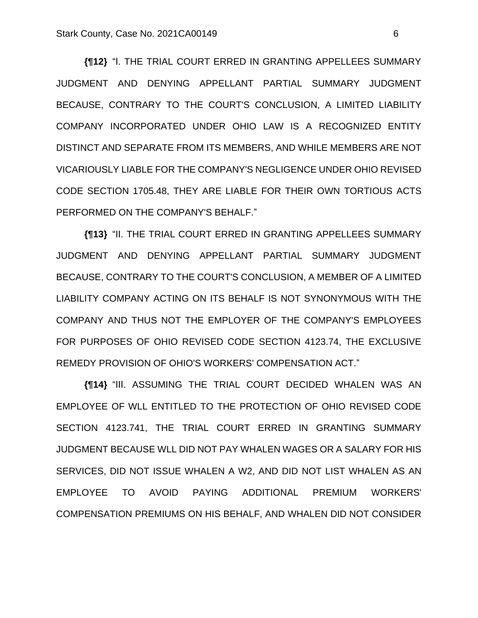**{¶12}** "I. THE TRIAL COURT ERRED IN GRANTING APPELLEES SUMMARY JUDGMENT AND DENYING APPELLANT PARTIAL SUMMARY JUDGMENT BECAUSE, CONTRARY TO THE COURT'S CONCLUSION, A LIMITED LIABILITY COMPANY INCORPORATED UNDER OHIO LAW IS A RECOGNIZED ENTITY DISTINCT AND SEPARATE FROM ITS MEMBERS, AND WHILE MEMBERS ARE NOT VICARIOUSLY LIABLE FOR THE COMPANY'S NEGLIGENCE UNDER OHIO REVISED CODE SECTION 1705.48, THEY ARE LIABLE FOR THEIR OWN TORTIOUS ACTS PERFORMED ON THE COMPANY'S BEHALF."

**{¶13}** "II. THE TRIAL COURT ERRED IN GRANTING APPELLEES SUMMARY JUDGMENT AND DENYING APPELLANT PARTIAL SUMMARY JUDGMENT BECAUSE, CONTRARY TO THE COURT'S CONCLUSION, A MEMBER OF A LIMITED LIABILITY COMPANY ACTING ON ITS BEHALF IS NOT SYNONYMOUS WITH THE COMPANY AND THUS NOT THE EMPLOYER OF THE COMPANY'S EMPLOYEES FOR PURPOSES OF OHIO REVISED CODE SECTION 4123.74, THE EXCLUSIVE REMEDY PROVISION OF OHIO'S WORKERS' COMPENSATION ACT."

**{¶14}** "III. ASSUMING THE TRIAL COURT DECIDED WHALEN WAS AN EMPLOYEE OF WLL ENTITLED TO THE PROTECTION OF OHIO REVISED CODE SECTION 4123.741, THE TRIAL COURT ERRED IN GRANTING SUMMARY JUDGMENT BECAUSE WLL DID NOT PAY WHALEN WAGES OR A SALARY FOR HIS SERVICES, DID NOT ISSUE WHALEN A W2, AND DID NOT LIST WHALEN AS AN EMPLOYEE TO AVOID PAYING ADDITIONAL PREMIUM WORKERS' COMPENSATION PREMIUMS ON HIS BEHALF, AND WHALEN DID NOT CONSIDER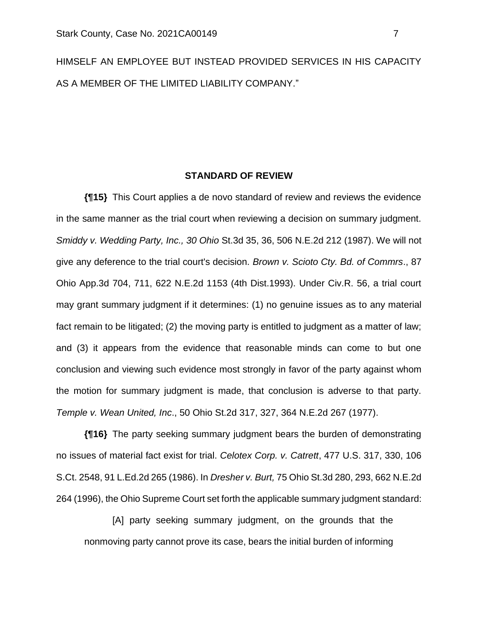HIMSELF AN EMPLOYEE BUT INSTEAD PROVIDED SERVICES IN HIS CAPACITY AS A MEMBER OF THE LIMITED LIABILITY COMPANY."

## **STANDARD OF REVIEW**

**{¶15}** This Court applies a de novo standard of review and reviews the evidence in the same manner as the trial court when reviewing a decision on summary judgment. *Smiddy v. Wedding Party, Inc., 30 Ohio* St.3d 35, 36, 506 N.E.2d 212 (1987). We will not give any deference to the trial court's decision. *Brown v. Scioto Cty. Bd. of Commrs*., 87 Ohio App.3d 704, 711, 622 N.E.2d 1153 (4th Dist.1993). Under Civ.R. 56, a trial court may grant summary judgment if it determines: (1) no genuine issues as to any material fact remain to be litigated; (2) the moving party is entitled to judgment as a matter of law; and (3) it appears from the evidence that reasonable minds can come to but one conclusion and viewing such evidence most strongly in favor of the party against whom the motion for summary judgment is made, that conclusion is adverse to that party. *Temple v. Wean United, Inc*., 50 Ohio St.2d 317, 327, 364 N.E.2d 267 (1977).

**{¶16}** The party seeking summary judgment bears the burden of demonstrating no issues of material fact exist for trial. *Celotex Corp. v. Catrett*, 477 U.S. 317, 330, 106 S.Ct. 2548, 91 L.Ed.2d 265 (1986). In *Dresher v. Burt,* 75 Ohio St.3d 280, 293, 662 N.E.2d 264 (1996), the Ohio Supreme Court set forth the applicable summary judgment standard:

[A] party seeking summary judgment, on the grounds that the nonmoving party cannot prove its case, bears the initial burden of informing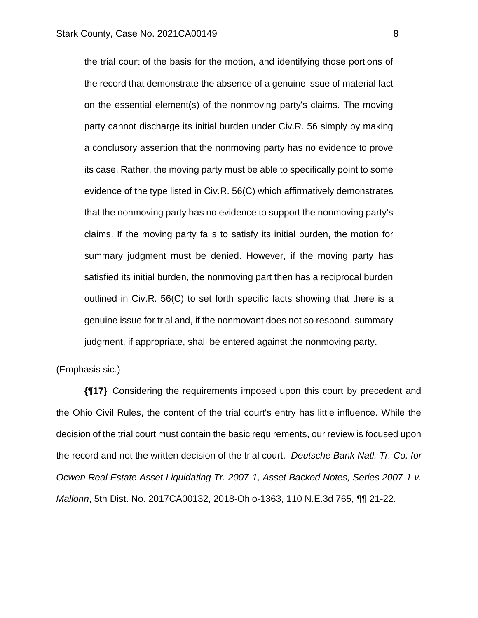the trial court of the basis for the motion, and identifying those portions of the record that demonstrate the absence of a genuine issue of material fact on the essential element(s) of the nonmoving party's claims. The moving party cannot discharge its initial burden under Civ.R. 56 simply by making a conclusory assertion that the nonmoving party has no evidence to prove its case. Rather, the moving party must be able to specifically point to some evidence of the type listed in Civ.R. 56(C) which affirmatively demonstrates that the nonmoving party has no evidence to support the nonmoving party's claims. If the moving party fails to satisfy its initial burden, the motion for summary judgment must be denied. However, if the moving party has satisfied its initial burden, the nonmoving part then has a reciprocal burden outlined in Civ.R. 56(C) to set forth specific facts showing that there is a genuine issue for trial and, if the nonmovant does not so respond, summary judgment, if appropriate, shall be entered against the nonmoving party.

(Emphasis sic.)

**{¶17}** Considering the requirements imposed upon this court by precedent and the Ohio Civil Rules, the content of the trial court's entry has little influence. While the decision of the trial court must contain the basic requirements, our review is focused upon the record and not the written decision of the trial court. *Deutsche Bank Natl. Tr. Co. for Ocwen Real Estate Asset Liquidating Tr. 2007-1, Asset Backed Notes, Series 2007-1 v. Mallonn*, 5th Dist. No. 2017CA00132, 2018-Ohio-1363, 110 N.E.3d 765, ¶¶ 21-22.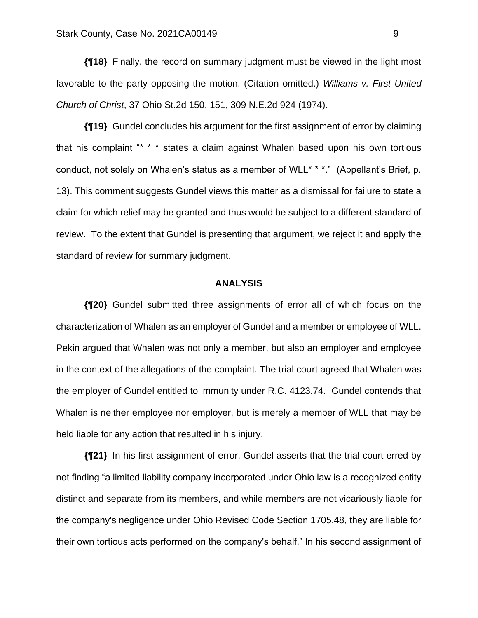**{¶18}** Finally, the record on summary judgment must be viewed in the light most favorable to the party opposing the motion. (Citation omitted.) *Williams v. First United Church of Christ*, 37 Ohio St.2d 150, 151, 309 N.E.2d 924 (1974).

**{¶19}** Gundel concludes his argument for the first assignment of error by claiming that his complaint "\* \* \* states a claim against Whalen based upon his own tortious conduct, not solely on Whalen's status as a member of WLL<sup>\*</sup> \*\*." (Appellant's Brief, p. 13). This comment suggests Gundel views this matter as a dismissal for failure to state a claim for which relief may be granted and thus would be subject to a different standard of review. To the extent that Gundel is presenting that argument, we reject it and apply the standard of review for summary judgment.

## **ANALYSIS**

**{¶20}** Gundel submitted three assignments of error all of which focus on the characterization of Whalen as an employer of Gundel and a member or employee of WLL. Pekin argued that Whalen was not only a member, but also an employer and employee in the context of the allegations of the complaint. The trial court agreed that Whalen was the employer of Gundel entitled to immunity under R.C. 4123.74. Gundel contends that Whalen is neither employee nor employer, but is merely a member of WLL that may be held liable for any action that resulted in his injury.

**{¶21}** In his first assignment of error, Gundel asserts that the trial court erred by not finding "a limited liability company incorporated under Ohio law is a recognized entity distinct and separate from its members, and while members are not vicariously liable for the company's negligence under Ohio Revised Code Section 1705.48, they are liable for their own tortious acts performed on the company's behalf." In his second assignment of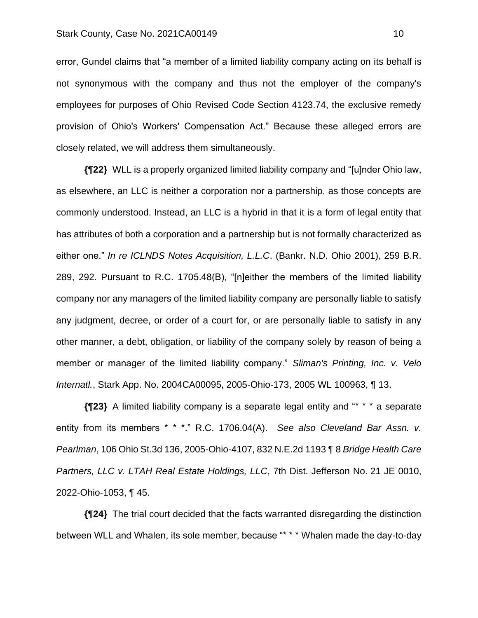error, Gundel claims that "a member of a limited liability company acting on its behalf is not synonymous with the company and thus not the employer of the company's employees for purposes of Ohio Revised Code Section 4123.74, the exclusive remedy provision of Ohio's Workers' Compensation Act." Because these alleged errors are closely related, we will address them simultaneously.

**{¶22}** WLL is a properly organized limited liability company and "[u]nder Ohio law, as elsewhere, an LLC is neither a corporation nor a partnership, as those concepts are commonly understood. Instead, an LLC is a hybrid in that it is a form of legal entity that has attributes of both a corporation and a partnership but is not formally characterized as either one." *In re ICLNDS Notes Acquisition, L.L.C*. (Bankr. N.D. Ohio 2001), 259 B.R. 289, 292. Pursuant to R.C. 1705.48(B), "[n]either the members of the limited liability company nor any managers of the limited liability company are personally liable to satisfy any judgment, decree, or order of a court for, or are personally liable to satisfy in any other manner, a debt, obligation, or liability of the company solely by reason of being a member or manager of the limited liability company." *Sliman's Printing, Inc. v. Velo Internatl.*, Stark App. No. 2004CA00095, 2005-Ohio-173, 2005 WL 100963, ¶ 13.

**{¶23}** A limited liability company is a separate legal entity and "\* \* \* a separate entity from its members \* \* \*." R.C. 1706.04(A). *See also Cleveland Bar Assn. v. Pearlman*, 106 Ohio St.3d 136, 2005-Ohio-4107, 832 N.E.2d 1193 ¶ 8 *Bridge Health Care Partners, LLC v. LTAH Real Estate Holdings, LLC*, 7th Dist. Jefferson No. 21 JE 0010, 2022-Ohio-1053, ¶ 45.

**{¶24}** The trial court decided that the facts warranted disregarding the distinction between WLL and Whalen, its sole member, because "\* \* \* Whalen made the day-to-day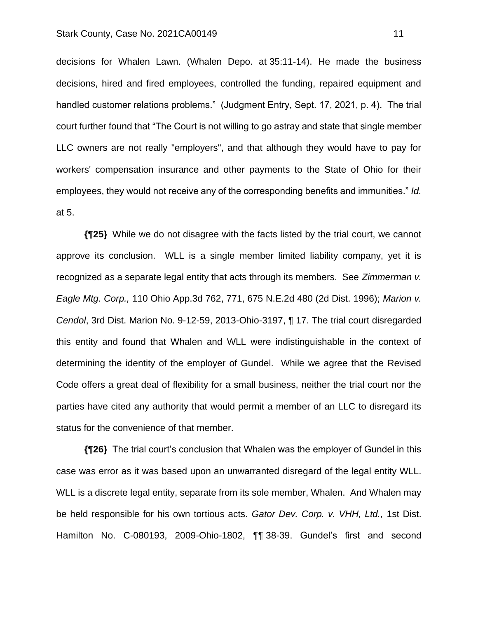decisions for Whalen Lawn. (Whalen Depo. at 35:11-14). He made the business decisions, hired and fired employees, controlled the funding, repaired equipment and handled customer relations problems." (Judgment Entry, Sept. 17, 2021, p. 4). The trial court further found that "The Court is not willing to go astray and state that single member LLC owners are not really "employers", and that although they would have to pay for workers' compensation insurance and other payments to the State of Ohio for their employees, they would not receive any of the corresponding benefits and immunities." *Id.* at 5.

**{¶25}** While we do not disagree with the facts listed by the trial court, we cannot approve its conclusion. WLL is a single member limited liability company, yet it is recognized as a separate legal entity that acts through its members. See *Zimmerman v. Eagle Mtg. Corp.,* 110 Ohio App.3d 762, 771, 675 N.E.2d 480 (2d Dist. 1996); *Marion v. Cendol*, 3rd Dist. Marion No. 9-12-59, 2013-Ohio-3197, ¶ 17. The trial court disregarded this entity and found that Whalen and WLL were indistinguishable in the context of determining the identity of the employer of Gundel. While we agree that the Revised Code offers a great deal of flexibility for a small business, neither the trial court nor the parties have cited any authority that would permit a member of an LLC to disregard its status for the convenience of that member.

**{¶26}** The trial court's conclusion that Whalen was the employer of Gundel in this case was error as it was based upon an unwarranted disregard of the legal entity WLL. WLL is a discrete legal entity, separate from its sole member, Whalen. And Whalen may be held responsible for his own tortious acts. *Gator Dev. Corp. v. VHH, Ltd.,* 1st Dist. Hamilton No. C-080193, 2009-Ohio-1802, ¶¶ 38-39. Gundel's first and second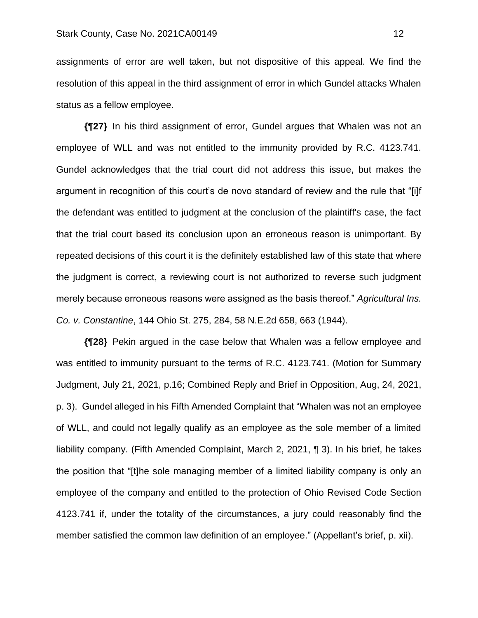assignments of error are well taken, but not dispositive of this appeal. We find the resolution of this appeal in the third assignment of error in which Gundel attacks Whalen status as a fellow employee.

**{¶27}** In his third assignment of error, Gundel argues that Whalen was not an employee of WLL and was not entitled to the immunity provided by R.C. 4123.741. Gundel acknowledges that the trial court did not address this issue, but makes the argument in recognition of this court's de novo standard of review and the rule that "[i]f the defendant was entitled to judgment at the conclusion of the plaintiff's case, the fact that the trial court based its conclusion upon an erroneous reason is unimportant. By repeated decisions of this court it is the definitely established law of this state that where the judgment is correct, a reviewing court is not authorized to reverse such judgment merely because erroneous reasons were assigned as the basis thereof." *Agricultural Ins. Co. v. Constantine*, 144 Ohio St. 275, 284, 58 N.E.2d 658, 663 (1944).

**{¶28}** Pekin argued in the case below that Whalen was a fellow employee and was entitled to immunity pursuant to the terms of R.C. 4123.741. (Motion for Summary Judgment, July 21, 2021, p.16; Combined Reply and Brief in Opposition, Aug, 24, 2021, p. 3). Gundel alleged in his Fifth Amended Complaint that "Whalen was not an employee of WLL, and could not legally qualify as an employee as the sole member of a limited liability company. (Fifth Amended Complaint, March 2, 2021, ¶ 3). In his brief, he takes the position that "[t]he sole managing member of a limited liability company is only an employee of the company and entitled to the protection of Ohio Revised Code Section 4123.741 if, under the totality of the circumstances, a jury could reasonably find the member satisfied the common law definition of an employee." (Appellant's brief, p. xii).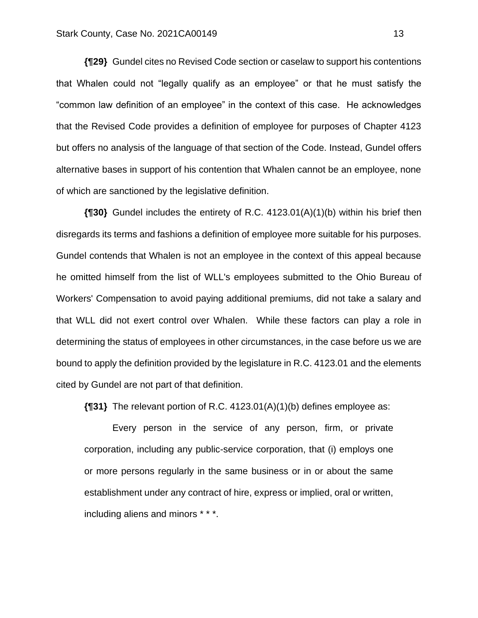**{¶29}** Gundel cites no Revised Code section or caselaw to support his contentions that Whalen could not "legally qualify as an employee" or that he must satisfy the "common law definition of an employee" in the context of this case. He acknowledges that the Revised Code provides a definition of employee for purposes of Chapter 4123 but offers no analysis of the language of that section of the Code. Instead, Gundel offers alternative bases in support of his contention that Whalen cannot be an employee, none of which are sanctioned by the legislative definition.

**{¶30}** Gundel includes the entirety of R.C. 4123.01(A)(1)(b) within his brief then disregards its terms and fashions a definition of employee more suitable for his purposes. Gundel contends that Whalen is not an employee in the context of this appeal because he omitted himself from the list of WLL's employees submitted to the Ohio Bureau of Workers' Compensation to avoid paying additional premiums, did not take a salary and that WLL did not exert control over Whalen. While these factors can play a role in determining the status of employees in other circumstances, in the case before us we are bound to apply the definition provided by the legislature in R.C. 4123.01 and the elements cited by Gundel are not part of that definition.

**{¶31}** The relevant portion of R.C. 4123.01(A)(1)(b) defines employee as:

Every person in the service of any person, firm, or private corporation, including any public-service corporation, that (i) employs one or more persons regularly in the same business or in or about the same establishment under any contract of hire, express or implied, oral or written, including aliens and minors \* \* \*.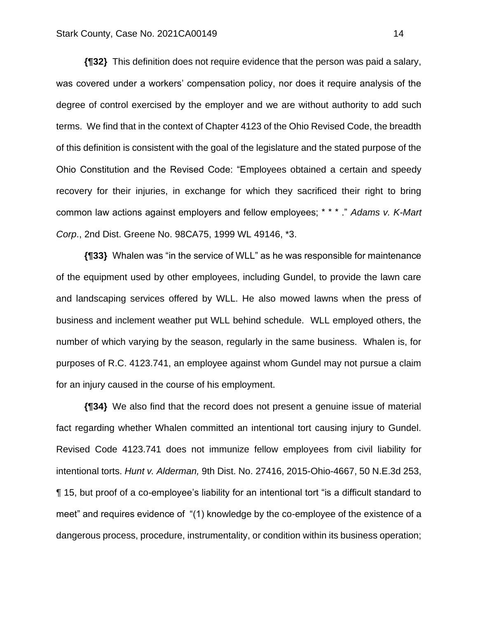**{¶32}** This definition does not require evidence that the person was paid a salary, was covered under a workers' compensation policy, nor does it require analysis of the degree of control exercised by the employer and we are without authority to add such terms. We find that in the context of Chapter 4123 of the Ohio Revised Code, the breadth of this definition is consistent with the goal of the legislature and the stated purpose of the Ohio Constitution and the Revised Code: "Employees obtained a certain and speedy recovery for their injuries, in exchange for which they sacrificed their right to bring common law actions against employers and fellow employees; \* \* \* ." *Adams v. K-Mart Corp*., 2nd Dist. Greene No. 98CA75, 1999 WL 49146, \*3.

**{¶33}** Whalen was "in the service of WLL" as he was responsible for maintenance of the equipment used by other employees, including Gundel, to provide the lawn care and landscaping services offered by WLL. He also mowed lawns when the press of business and inclement weather put WLL behind schedule. WLL employed others, the number of which varying by the season, regularly in the same business. Whalen is, for purposes of R.C. 4123.741, an employee against whom Gundel may not pursue a claim for an injury caused in the course of his employment.

**{¶34}** We also find that the record does not present a genuine issue of material fact regarding whether Whalen committed an intentional tort causing injury to Gundel. Revised Code 4123.741 does not immunize fellow employees from civil liability for intentional torts. *Hunt v. Alderman,* 9th Dist. No. 27416, 2015-Ohio-4667, 50 N.E.3d 253, ¶ 15, but proof of a co-employee's liability for an intentional tort "is a difficult standard to meet" and requires evidence of "(1) knowledge by the co-employee of the existence of a dangerous process, procedure, instrumentality, or condition within its business operation;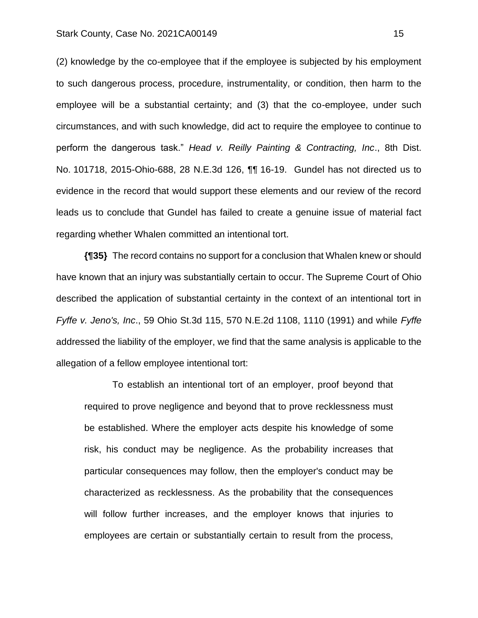(2) knowledge by the co-employee that if the employee is subjected by his employment to such dangerous process, procedure, instrumentality, or condition, then harm to the employee will be a substantial certainty; and (3) that the co-employee, under such circumstances, and with such knowledge, did act to require the employee to continue to perform the dangerous task." *Head v. Reilly Painting & Contracting, Inc*., 8th Dist. No. 101718, 2015-Ohio-688, 28 N.E.3d 126, ¶¶ 16-19. Gundel has not directed us to evidence in the record that would support these elements and our review of the record leads us to conclude that Gundel has failed to create a genuine issue of material fact regarding whether Whalen committed an intentional tort.

**{¶35}** The record contains no support for a conclusion that Whalen knew or should have known that an injury was substantially certain to occur. The Supreme Court of Ohio described the application of substantial certainty in the context of an intentional tort in *Fyffe v. Jeno's, Inc*., 59 Ohio St.3d 115, 570 N.E.2d 1108, 1110 (1991) and while *Fyffe* addressed the liability of the employer, we find that the same analysis is applicable to the allegation of a fellow employee intentional tort:

To establish an intentional tort of an employer, proof beyond that required to prove negligence and beyond that to prove recklessness must be established. Where the employer acts despite his knowledge of some risk, his conduct may be negligence. As the probability increases that particular consequences may follow, then the employer's conduct may be characterized as recklessness. As the probability that the consequences will follow further increases, and the employer knows that injuries to employees are certain or substantially certain to result from the process,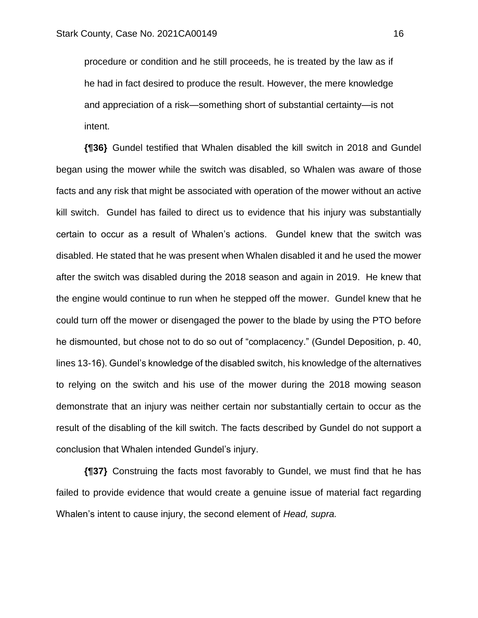procedure or condition and he still proceeds, he is treated by the law as if he had in fact desired to produce the result. However, the mere knowledge and appreciation of a risk—something short of substantial certainty—is not intent.

**{¶36}** Gundel testified that Whalen disabled the kill switch in 2018 and Gundel began using the mower while the switch was disabled, so Whalen was aware of those facts and any risk that might be associated with operation of the mower without an active kill switch. Gundel has failed to direct us to evidence that his injury was substantially certain to occur as a result of Whalen's actions. Gundel knew that the switch was disabled. He stated that he was present when Whalen disabled it and he used the mower after the switch was disabled during the 2018 season and again in 2019. He knew that the engine would continue to run when he stepped off the mower. Gundel knew that he could turn off the mower or disengaged the power to the blade by using the PTO before he dismounted, but chose not to do so out of "complacency." (Gundel Deposition, p. 40, lines 13-16). Gundel's knowledge of the disabled switch, his knowledge of the alternatives to relying on the switch and his use of the mower during the 2018 mowing season demonstrate that an injury was neither certain nor substantially certain to occur as the result of the disabling of the kill switch. The facts described by Gundel do not support a conclusion that Whalen intended Gundel's injury.

**{¶37}** Construing the facts most favorably to Gundel, we must find that he has failed to provide evidence that would create a genuine issue of material fact regarding Whalen's intent to cause injury, the second element of *Head, supra.*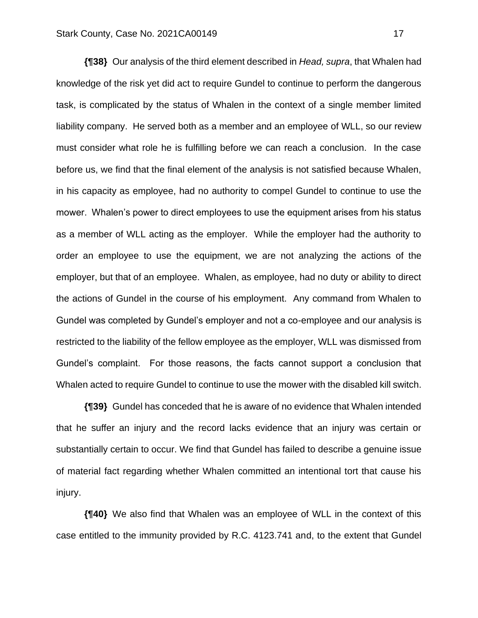**{¶38}** Our analysis of the third element described in *Head, supra*, that Whalen had knowledge of the risk yet did act to require Gundel to continue to perform the dangerous task, is complicated by the status of Whalen in the context of a single member limited liability company. He served both as a member and an employee of WLL, so our review must consider what role he is fulfilling before we can reach a conclusion. In the case before us, we find that the final element of the analysis is not satisfied because Whalen, in his capacity as employee, had no authority to compel Gundel to continue to use the mower. Whalen's power to direct employees to use the equipment arises from his status as a member of WLL acting as the employer. While the employer had the authority to order an employee to use the equipment, we are not analyzing the actions of the employer, but that of an employee. Whalen, as employee, had no duty or ability to direct the actions of Gundel in the course of his employment. Any command from Whalen to Gundel was completed by Gundel's employer and not a co-employee and our analysis is restricted to the liability of the fellow employee as the employer, WLL was dismissed from Gundel's complaint. For those reasons, the facts cannot support a conclusion that Whalen acted to require Gundel to continue to use the mower with the disabled kill switch.

**{¶39}** Gundel has conceded that he is aware of no evidence that Whalen intended that he suffer an injury and the record lacks evidence that an injury was certain or substantially certain to occur. We find that Gundel has failed to describe a genuine issue of material fact regarding whether Whalen committed an intentional tort that cause his injury.

**{¶40}** We also find that Whalen was an employee of WLL in the context of this case entitled to the immunity provided by R.C. 4123.741 and, to the extent that Gundel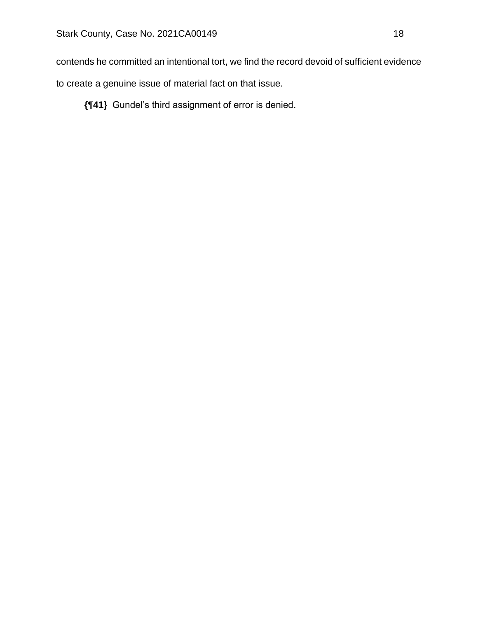contends he committed an intentional tort, we find the record devoid of sufficient evidence

to create a genuine issue of material fact on that issue.

**{¶41}** Gundel's third assignment of error is denied.